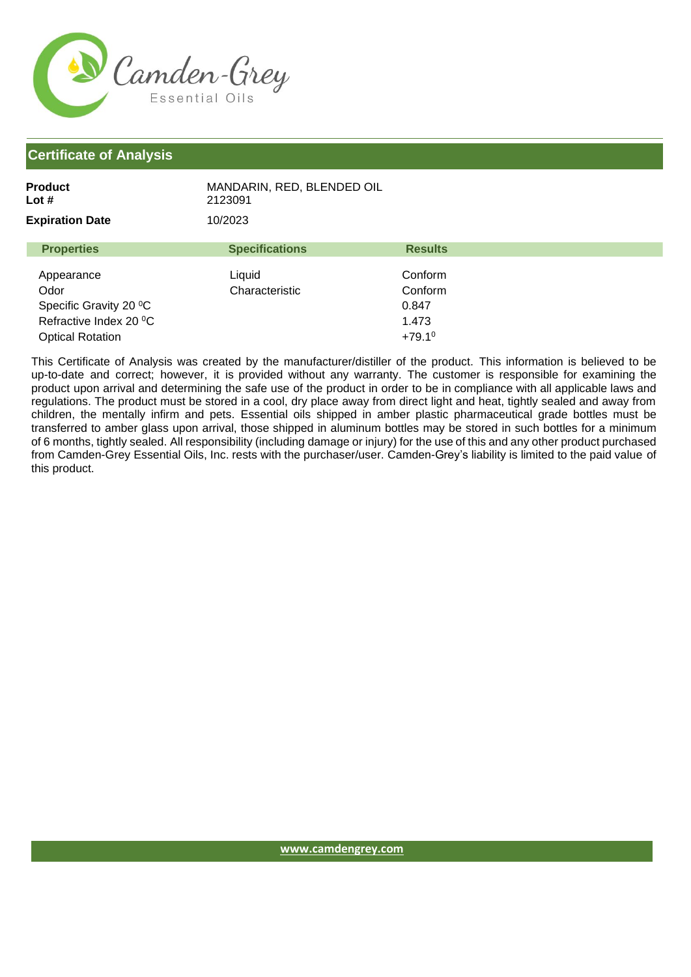

| Product                | MANDARIN, RED, BLENDED OIL |
|------------------------|----------------------------|
| Lot #                  | 2123091                    |
| <b>Expiration Date</b> | 10/2023                    |

| <b>Properties</b>       | <b>Specifications</b> | <b>Results</b>       |
|-------------------------|-----------------------|----------------------|
| Appearance              | Liquid                | Conform              |
|                         |                       |                      |
| Odor                    | Characteristic        | Conform              |
| Specific Gravity 20 °C  |                       | 0.847                |
| Refractive Index 20 °C  |                       | 1.473                |
| <b>Optical Rotation</b> |                       | $+79.1$ <sup>0</sup> |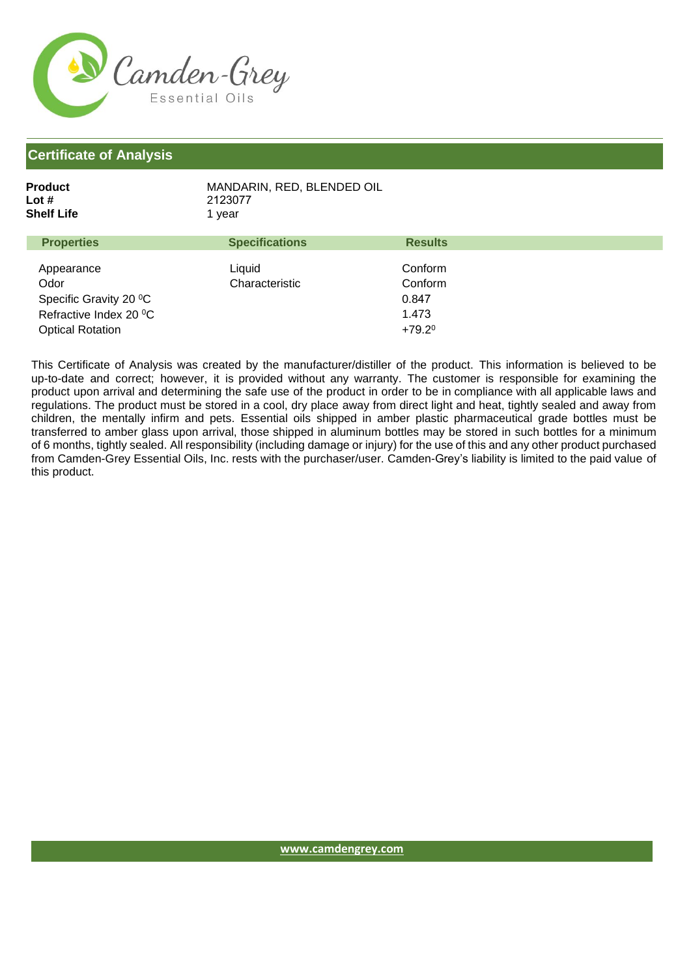

| Product    | MANDARIN, RED. BLENDED OIL |
|------------|----------------------------|
| Lot #      | 2123077                    |
| Shelf Life | 1 vear                     |
|            |                            |

| <b>Properties</b>       | <b>Specifications</b> | <b>Results</b>  |  |
|-------------------------|-----------------------|-----------------|--|
|                         |                       |                 |  |
| Appearance              | Liquid                | Conform         |  |
| Odor                    | Characteristic        | Conform         |  |
| Specific Gravity 20 °C  |                       | 0.847           |  |
| Refractive Index 20 °C  |                       | 1.473           |  |
| <b>Optical Rotation</b> |                       | $+79.2^{\circ}$ |  |
|                         |                       |                 |  |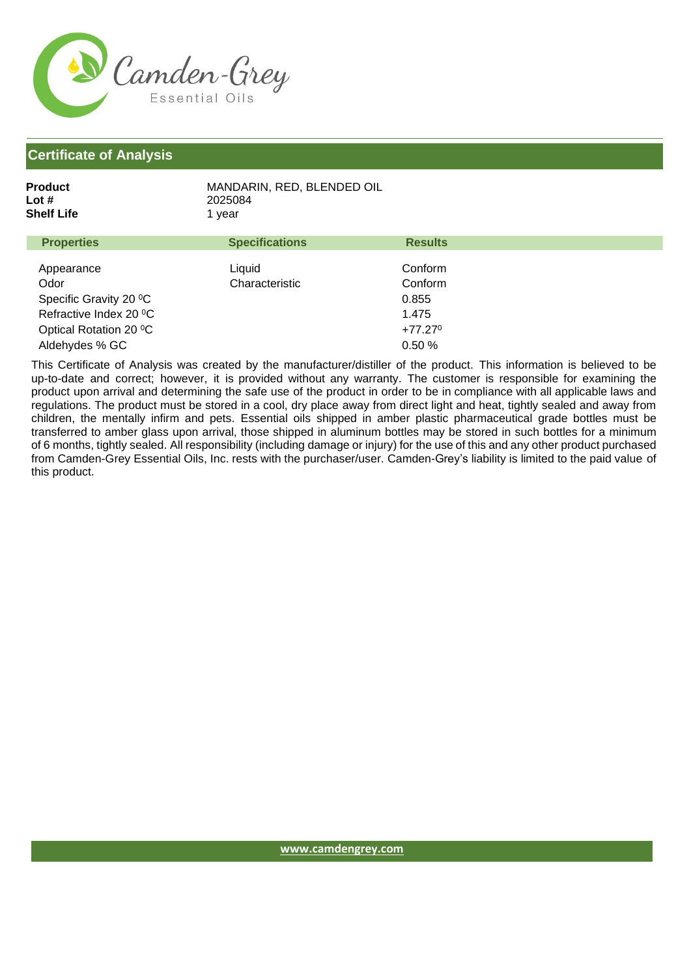

| Product    | MANDARIN, RED, BLENDED OIL |
|------------|----------------------------|
| Lot #      | 2025084                    |
| Shelf Life | 1 vear                     |
|            |                            |

| <b>Properties</b>      | <b>Specifications</b> | <b>Results</b>   |
|------------------------|-----------------------|------------------|
| Appearance             | Liquid                | Conform          |
| Odor                   | Characteristic        | Conform          |
|                        |                       |                  |
| Specific Gravity 20 °C |                       | 0.855            |
| Refractive Index 20 °C |                       | 1.475            |
| Optical Rotation 20 °C |                       | $+77.27^{\circ}$ |
| Aldehydes % GC         |                       | 0.50%            |